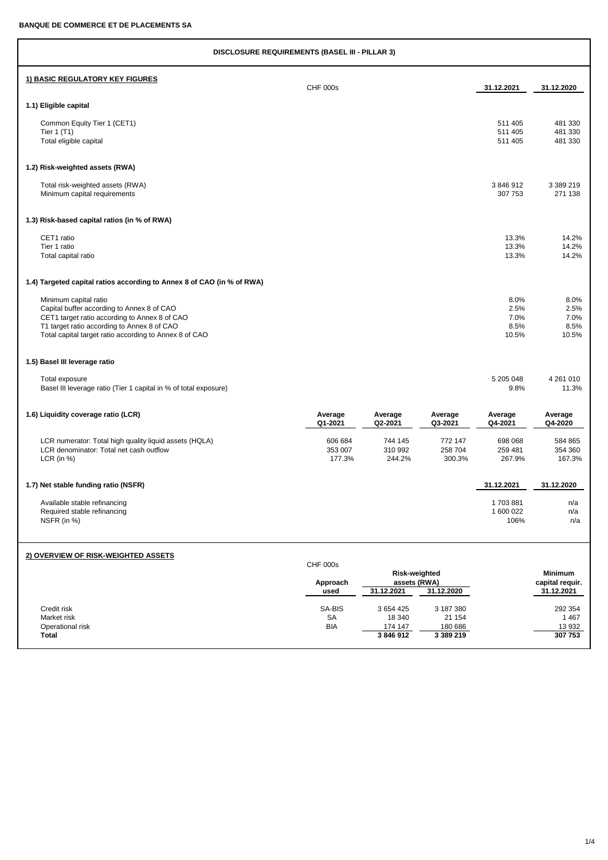| <b>DISCLOSURE REQUIREMENTS (BASEL III - PILLAR 3)</b>                                                                                                                                                                         |                                     |                                             |                                             |                                       |                                                 |
|-------------------------------------------------------------------------------------------------------------------------------------------------------------------------------------------------------------------------------|-------------------------------------|---------------------------------------------|---------------------------------------------|---------------------------------------|-------------------------------------------------|
| 1) BASIC REGULATORY KEY FIGURES                                                                                                                                                                                               | <b>CHF 000s</b>                     |                                             |                                             | 31.12.2021                            | 31.12.2020                                      |
| 1.1) Eligible capital                                                                                                                                                                                                         |                                     |                                             |                                             |                                       |                                                 |
| Common Equity Tier 1 (CET1)<br>Tier 1 (T1)<br>Total eligible capital                                                                                                                                                          |                                     |                                             |                                             | 511 405<br>511 405<br>511 405         | 481 330<br>481 330<br>481 330                   |
| 1.2) Risk-weighted assets (RWA)                                                                                                                                                                                               |                                     |                                             |                                             |                                       |                                                 |
| Total risk-weighted assets (RWA)<br>Minimum capital requirements                                                                                                                                                              |                                     |                                             |                                             | 3846912<br>307 753                    | 3 3 8 9 2 1 9<br>271 138                        |
| 1.3) Risk-based capital ratios (in % of RWA)                                                                                                                                                                                  |                                     |                                             |                                             |                                       |                                                 |
| CET1 ratio<br>Tier 1 ratio<br>Total capital ratio                                                                                                                                                                             |                                     |                                             |                                             | 13.3%<br>13.3%<br>13.3%               | 14.2%<br>14.2%<br>14.2%                         |
| 1.4) Targeted capital ratios according to Annex 8 of CAO (in % of RWA)                                                                                                                                                        |                                     |                                             |                                             |                                       |                                                 |
| Minimum capital ratio<br>Capital buffer according to Annex 8 of CAO<br>CET1 target ratio according to Annex 8 of CAO<br>T1 target ratio according to Annex 8 of CAO<br>Total capital target ratio according to Annex 8 of CAO |                                     |                                             |                                             | 8.0%<br>2.5%<br>7.0%<br>8.5%<br>10.5% | 8.0%<br>2.5%<br>7.0%<br>8.5%<br>10.5%           |
| 1.5) Basel III leverage ratio                                                                                                                                                                                                 |                                     |                                             |                                             |                                       |                                                 |
| Total exposure<br>Basel III leverage ratio (Tier 1 capital in % of total exposure)                                                                                                                                            |                                     |                                             |                                             | 5 205 048<br>9.8%                     | 4 261 010<br>11.3%                              |
| 1.6) Liquidity coverage ratio (LCR)                                                                                                                                                                                           | Average<br>Q1-2021                  | Average<br>Q2-2021                          | Average<br>Q3-2021                          | Average<br>Q4-2021                    | Average<br>Q4-2020                              |
| LCR numerator: Total high quality liquid assets (HQLA)<br>LCR denominator: Total net cash outflow<br>LCR (in $%$ )                                                                                                            | 606 684<br>353 007<br>177.3%        | 744 145<br>310 992<br>244.2%                | 772 147<br>258 704<br>300.3%                | 698 068<br>259 481<br>267.9%          | 584 865<br>354 360<br>167.3%                    |
| 1.7) Net stable funding ratio (NSFR)                                                                                                                                                                                          |                                     |                                             |                                             | 31.12.2021                            | 31.12.2020                                      |
| Available stable refinancing<br>Required stable refinancing<br>NSFR (in %)                                                                                                                                                    |                                     |                                             |                                             | 1703881<br>1 600 022<br>106%          | n/a<br>n/a<br>n/a                               |
| 2) OVERVIEW OF RISK-WEIGHTED ASSETS                                                                                                                                                                                           |                                     |                                             |                                             |                                       |                                                 |
|                                                                                                                                                                                                                               | <b>CHF 000s</b><br>Approach<br>used | Risk-weighted<br>assets (RWA)<br>31.12.2021 | 31.12.2020                                  |                                       | <b>Minimum</b><br>capital requir.<br>31.12.2021 |
| Credit risk<br>Market risk<br>Operational risk<br><b>Total</b>                                                                                                                                                                | SA-BIS<br>SA<br><b>BIA</b>          | 3 654 425<br>18 340<br>174 147<br>3846912   | 3 187 380<br>21 154<br>180 686<br>3 389 219 |                                       | 292 354<br>1467<br>13 932<br>307 753            |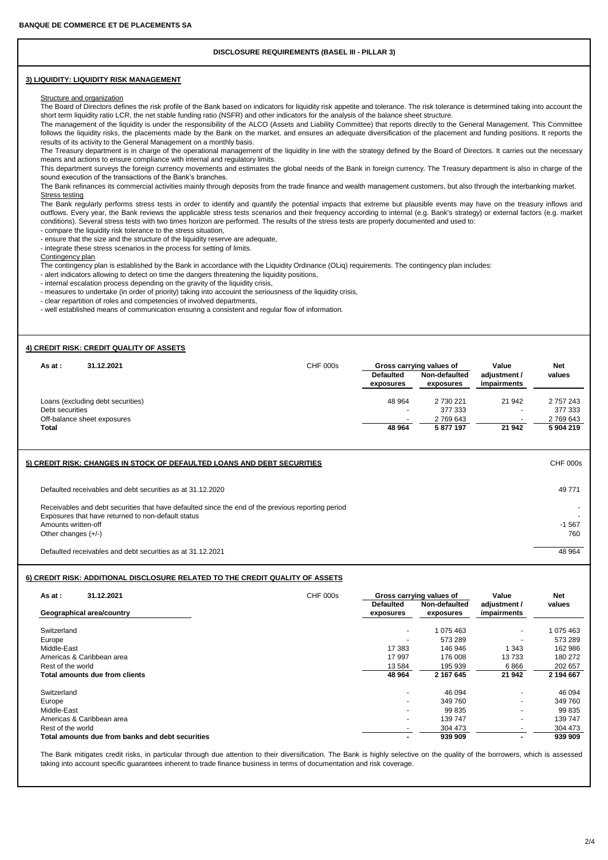# **DISCLOSURE REQUIREMENTS (BASEL III - PILLAR 3)**

### **3) LIQUIDITY: LIQUIDITY RISK MANAGEMENT**

#### Structure and organization

The Board of Directors defines the risk profile of the Bank based on indicators for liquidity risk appetite and tolerance. The risk tolerance is determined taking into account the short term liquidity ratio LCR, the net stable funding ratio (NSFR) and other indicators for the analysis of the balance sheet structure.

The management of the liquidity is under the responsibility of the ALCO (Assets and Liability Committee) that reports directly to the General Management. This Committee follows the liquidity risks, the placements made by the Bank on the market, and ensures an adequate diversification of the placement and funding positions. It reports the results of its activity to the General Management on a monthly basis.

The Treasury department is in charge of the operational management of the liquidity in line with the strategy defined by the Board of Directors. It carries out the necessary means and actions to ensure compliance with internal and regulatory limits.

This department surveys the foreign currency movements and estimates the global needs of the Bank in foreign currency. The Treasury department is also in charge of the sound execution of the transactions of the Bank's branches.

The Bank refinances its commercial activities mainly through deposits from the trade finance and wealth management customers, but also through the interbanking market. Stress testing

The Bank regularly performs stress tests in order to identify and quantify the potential impacts that extreme but plausible events may have on the treasury inflows and outflows. Every year, the Bank reviews the applicable stress tests scenarios and their frequency according to internal (e.g. Bank's strategy) or external factors (e.g. market conditions). Several stress tests with two times horizon are performed. The results of the stress tests are properly documented and used to:

- compare the liquidity risk tolerance to the stress situation,

- ensure that the size and the structure of the liquidity reserve are adequate, - integrate these stress scenarios in the process for setting of limits.

Contingency plan

The contingency plan is established by the Bank in accordance with the Liquidity Ordinance (OLiq) requirements. The contingency plan includes:

- alert indicators allowing to detect on time the dangers threatening the liquidity positions,

- internal escalation process depending on the gravity of the liquidity crisis,

- measures to undertake (in order of priority) taking into accouint the seriousness of the liquidity crisis,

- clear repartition of roles and competencies of involved departments,

- well established means of communication ensuring a consistent and regular flow of information.

### **4) CREDIT RISK: CREDIT QUALITY OF ASSETS**

| 31.12.2021<br>As at :             | <b>CHF 000s</b> | Gross carrving values of      |                            | Value                       | <b>Net</b> |
|-----------------------------------|-----------------|-------------------------------|----------------------------|-----------------------------|------------|
|                                   |                 | <b>Defaulted</b><br>exposures | Non-defaulted<br>exposures | adjustment /<br>impairments | values     |
| Loans (excluding debt securities) |                 | 48 964                        | 2 730 221                  | 21 942                      | 2 757 243  |
| Debt securities                   |                 |                               | 377 333                    | $\overline{\phantom{a}}$    | 377 333    |
| Off-balance sheet exposures       |                 |                               | 2 769 643                  | $\overline{\phantom{a}}$    | 2769643    |
| Total                             |                 | 48 964                        | 5877197                    | 21 942                      | 5904219    |

## **5) CREDIT RISK: CHANGES IN STOCK OF DEFAULTED LOANS AND DEBT SECURITIES** CHF 000s

Defaulted receivables and debt securities as at 31.12.2020 49 771

Receivables and debt securities that have defaulted since the end of the previous reporting period Exposures that have returned to non-default status<br>Amounts written-off 41 S67 Amounts written-off -1 567 Other changes (+/-) 760

Defaulted receivables and debt securities as at 31.12.2021 48 Australian 1998 48 964

### **6) CREDIT RISK: ADDITIONAL DISCLOSURE RELATED TO THE CREDIT QUALITY OF ASSETS**

| 31.12.2021<br>As at :                            | CHF 000s |                          | Gross carrying values of | Value        | <b>Net</b> |
|--------------------------------------------------|----------|--------------------------|--------------------------|--------------|------------|
|                                                  |          | <b>Defaulted</b>         | Non-defaulted            | adjustment / | values     |
| Geographical area/country                        |          | exposures                | exposures                | impairments  |            |
| Switzerland                                      |          | $\overline{\phantom{a}}$ | 1 075 463                | ٠            | 075463     |
| Europe                                           |          | $\overline{\phantom{a}}$ | 573 289                  | ٠            | 573 289    |
| Middle-East                                      |          | 17 383                   | 146 946                  | 343          | 162 986    |
| Americas & Caribbean area                        |          | 17 997                   | 176 008                  | 13733        | 180 272    |
| Rest of the world                                |          | 13 5 84                  | 195 939                  | 6866         | 202 657    |
| Total amounts due from clients                   |          | 48 964                   | 2 167 645                | 21 942       | 2 194 667  |
| Switzerland                                      |          | $\overline{a}$           | 46 094                   | $\sim$       | 46 094     |
| Europe                                           |          | $\overline{\phantom{a}}$ | 349 760                  | $\sim$       | 349 760    |
| Middle-East                                      |          | $\overline{\phantom{a}}$ | 99 835                   | $\sim$       | 99 835     |
| Americas & Caribbean area                        |          | $\overline{\phantom{a}}$ | 139 747                  | ٠            | 139 747    |
| Rest of the world                                |          |                          | 304 473                  | $\sim$       | 304 473    |
| Total amounts due from banks and debt securities |          |                          | 939 909                  | -            | 939 909    |

The Bank mitigates credit risks, in particular through due attention to their diversification. The Bank is highly selective on the quality of the borrowers, which is assessed taking into account specific guarantees inherent to trade finance business in terms of documentation and risk coverage.

2/4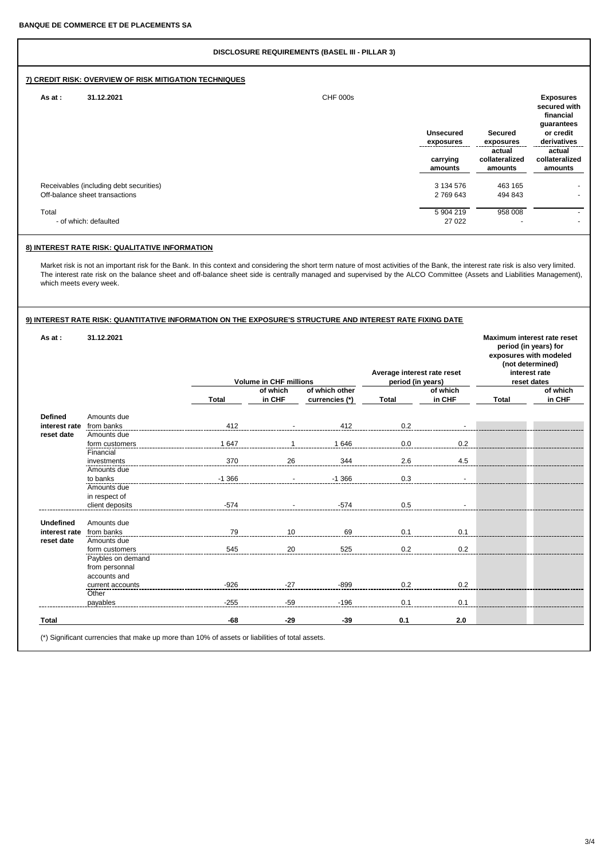# **DISCLOSURE REQUIREMENTS (BASEL III - PILLAR 3) 7) CREDIT RISK: OVERVIEW OF RISK MITIGATION TECHNIQUES As at : 31.12.2021** CHF 000s **Exposures secured with financial** guarantees<br>or credit **Unsecured Secured or credit exposures exposures derivatives actual actual carrying collateralized collateralized amounts amounts amounts** Receivables (including debt securities)<br>
Off-balance sheet transactions
3134 576 463 165<br>
2769 643 494 843 Off-balance sheet transactions Total 5 904 219 958 008 - - of which: defaulted 27 022

# **8) INTEREST RATE RISK: QUALITATIVE INFORMATION**

Market risk is not an important risk for the Bank. In this context and considering the short term nature of most activities of the Bank, the interest rate risk is also very limited. The interest rate risk on the balance sheet and off-balance sheet side is centrally managed and supervised by the ALCO Committee (Assets and Liabilities Management), which meets every week.

| As at:           | 31.12.2021        |              | Average interest rate reset<br><b>Volume in CHF millions</b><br>period (in years) |                                  |              | Maximum interest rate reset<br>period (in years) for<br>exposures with modeled<br>(not determined)<br>interest rate<br>reset dates |              |                    |
|------------------|-------------------|--------------|-----------------------------------------------------------------------------------|----------------------------------|--------------|------------------------------------------------------------------------------------------------------------------------------------|--------------|--------------------|
|                  |                   | <b>Total</b> | of which<br>in CHF                                                                | of which other<br>currencies (*) | <b>Total</b> | of which<br>in CHF                                                                                                                 | <b>Total</b> | of which<br>in CHF |
|                  |                   |              |                                                                                   |                                  |              |                                                                                                                                    |              |                    |
| <b>Defined</b>   | Amounts due       |              |                                                                                   |                                  |              |                                                                                                                                    |              |                    |
| interest rate    | from banks        | 412          |                                                                                   | 412                              | 0.2          |                                                                                                                                    |              |                    |
| reset date       | Amounts due       |              |                                                                                   |                                  |              |                                                                                                                                    |              |                    |
|                  | form customers    | 1647         |                                                                                   | 1646                             | 0.0          | 0.2                                                                                                                                |              |                    |
|                  | Financial         |              |                                                                                   |                                  |              |                                                                                                                                    |              |                    |
|                  | investments       | 370          | 26                                                                                | 344                              | 2.6          | 4.5                                                                                                                                |              |                    |
|                  | Amounts due       |              |                                                                                   |                                  |              |                                                                                                                                    |              |                    |
|                  | to banks          | $-1.366$     |                                                                                   | $-1.366$                         | 0.3          |                                                                                                                                    |              |                    |
|                  | Amounts due       |              |                                                                                   |                                  |              |                                                                                                                                    |              |                    |
|                  | in respect of     |              |                                                                                   |                                  |              |                                                                                                                                    |              |                    |
|                  | client deposits   | $-574$       |                                                                                   | $-574$                           | 0.5          |                                                                                                                                    |              |                    |
| <b>Undefined</b> | Amounts due       |              |                                                                                   |                                  |              |                                                                                                                                    |              |                    |
| interest rate    | from banks        | 79           | 10                                                                                | 69                               | 0.1          | 0.1                                                                                                                                |              |                    |
| reset date       | Amounts due       |              |                                                                                   |                                  |              |                                                                                                                                    |              |                    |
|                  | form customers    | 545          | 20                                                                                | 525                              | 0.2          | 0.2                                                                                                                                |              |                    |
|                  | Paybles on demand |              |                                                                                   |                                  |              |                                                                                                                                    |              |                    |
|                  | from personnal    |              |                                                                                   |                                  |              |                                                                                                                                    |              |                    |
|                  | accounts and      |              |                                                                                   |                                  |              |                                                                                                                                    |              |                    |
|                  | current accounts  | $-926$       | $-27$                                                                             | $-899$                           | 0.2          | 0.2                                                                                                                                |              |                    |
|                  | Other             |              |                                                                                   |                                  |              |                                                                                                                                    |              |                    |
|                  | payables          | $-255$       | $-59$                                                                             | $-196$                           | 0.1          | 0.1                                                                                                                                |              |                    |
| <b>Total</b>     |                   | -68          | $-29$                                                                             | $-39$                            | 0.1          | 2.0                                                                                                                                |              |                    |

(\*) Significant currencies that make up more than 10% of assets or liabilities of total assets.